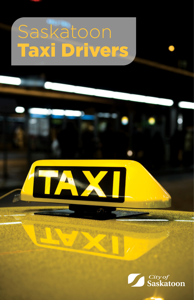# Saskatoon Taxi Drivers

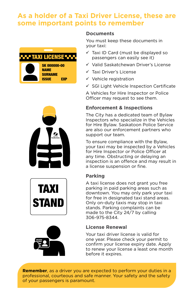## **As a holder of a Taxi Driver License, these are some important points to remember**



NAME SURNAME ISSUE EXP







## **Documents**

You must keep these documents in your taxi:

- $\checkmark$  Taxi ID Card (must be displayed so passengers can easily see it)
- Valid Saskatchewan Driver's License
- $\checkmark$  Taxi Driver's License
- $\checkmark$  Vehicle registration
- $\checkmark$  SGI Light Vehicle Inspection Certificate

A Vehicles for Hire Inspector or Police Officer may request to see them.

## **Enforcement & Inspections**

The City has a dedicated team of Bylaw Inspectors who specialize in the Vehicles for Hire Bylaw. Saskatoon Police Service are also our enforcement partners who support our team.

To ensure compliance with the Bylaw, your taxi may be inspected by a Vehicles for Hire Inspector or Police Officer at any time. Obstructing or delaying an inspection is an offence and may result in a license suspension or fine.

## **Parking**

A taxi license does not grant you free parking in paid parking areas such as downtown. You may only park your taxi for free in designated taxi stand areas. Only on-duty taxis may stop in taxi stands. Parking complaints can be made to the City 24/7 by calling 306-975-8344.

## **License Renewal**

Your taxi driver license is valid for one year. Please check your permit to confirm your license expiry date. Apply to renew your license a least one month before it expires.

**Remember**, as a driver you are expected to perform your duties in a professional, courteous and safe manner. Your safety and the safety of your passengers is paramount.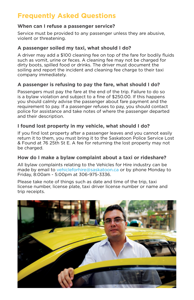## **Frequently Asked Questions**

## **When can I refuse a passenger service?**

Service must be provided to any passenger unless they are abusive, violent or threatening.

## **A passenger soiled my taxi, what should I do?**

A driver may add a \$100 cleaning fee on top of the fare for bodily fluids such as vomit, urine or feces. A cleaning fee may not be charged for dirty boots, spilled food or drinks. The driver must document the soiling and report the incident and cleaning fee charge to their taxi company immediately.

## **A passenger is refusing to pay the fare, what should I do?**

Passengers must pay the fare at the end of the trip. Failure to do so is a bylaw violation and subject to a fine of \$250.00. If this happens you should calmly advise the passenger about fare payment and the requirement to pay. If a passenger refuses to pay, you should contact police for assistance and take notes of where the passenger departed and their description.

## **I found lost property in my vehicle, what should I do?**

If you find lost property after a passenger leaves and you cannot easily return it to them, you must bring it to the Saskatoon Police Service Lost & Found at 76 25th St E. A fee for returning the lost property may not be charged.

## **How do I make a bylaw complaint about a taxi or rideshare?**

All bylaw complaints relating to the Vehicles for Hire industry can be made by email to vehicleforhire@saskatoon.ca or by phone Monday to Friday, 8:00am - 5:00pm at 306-975-3336.

Please take note of things such as date and time of the trip, taxi license number, license plate, taxi driver license number or name and trip receipts.